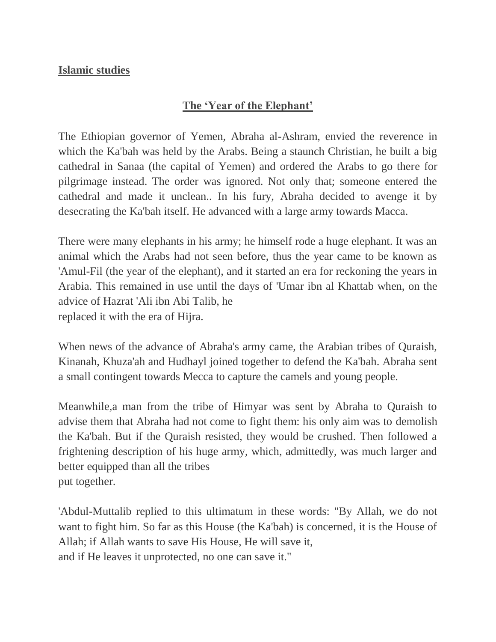### **Islamic studies**

### **The 'Year of the Elephant'**

The Ethiopian governor of Yemen, Abraha al-Ashram, envied the reverence in which the Ka'bah was held by the Arabs. Being a staunch Christian, he built a big cathedral in Sanaa (the capital of Yemen) and ordered the Arabs to go there for pilgrimage instead. The order was ignored. Not only that; someone entered the cathedral and made it unclean.. In his fury, Abraha decided to avenge it by desecrating the Ka'bah itself. He advanced with a large army towards Macca.

There were many elephants in his army; he himself rode a huge elephant. It was an animal which the Arabs had not seen before, thus the year came to be known as 'Amul-Fil (the year of the elephant), and it started an era for reckoning the years in Arabia. This remained in use until the days of 'Umar ibn al Khattab when, on the advice of Hazrat 'Ali ibn Abi Talib, he replaced it with the era of Hijra.

When news of the advance of Abraha's army came, the Arabian tribes of Quraish, Kinanah, Khuza'ah and Hudhayl joined together to defend the Ka'bah. Abraha sent a small contingent towards Mecca to capture the camels and young people.

Meanwhile,a man from the tribe of Himyar was sent by Abraha to Quraish to advise them that Abraha had not come to fight them: his only aim was to demolish the Ka'bah. But if the Quraish resisted, they would be crushed. Then followed a frightening description of his huge army, which, admittedly, was much larger and better equipped than all the tribes put together.

'Abdul-Muttalib replied to this ultimatum in these words: "By Allah, we do not want to fight him. So far as this House (the Ka'bah) is concerned, it is the House of Allah; if Allah wants to save His House, He will save it, and if He leaves it unprotected, no one can save it."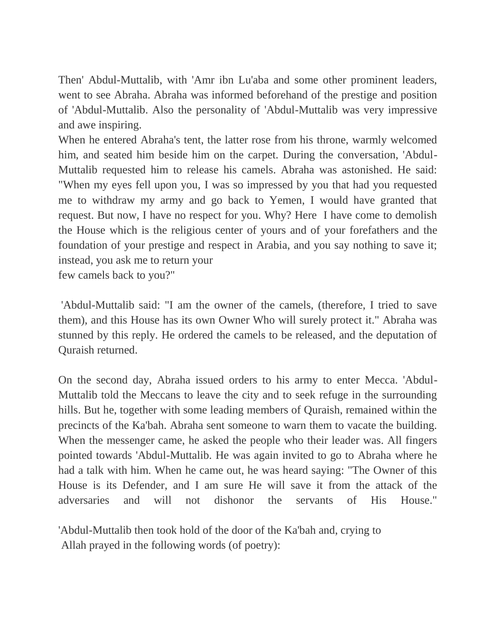Then' Abdul-Muttalib, with 'Amr ibn Lu'aba and some other prominent leaders, went to see Abraha. Abraha was informed beforehand of the prestige and position of 'Abdul-Muttalib. Also the personality of 'Abdul-Muttalib was very impressive and awe inspiring.

When he entered Abraha's tent, the latter rose from his throne, warmly welcomed him, and seated him beside him on the carpet. During the conversation, 'Abdul-Muttalib requested him to release his camels. Abraha was astonished. He said: "When my eyes fell upon you, I was so impressed by you that had you requested me to withdraw my army and go back to Yemen, I would have granted that request. But now, I have no respect for you. Why? Here I have come to demolish the House which is the religious center of yours and of your forefathers and the foundation of your prestige and respect in Arabia, and you say nothing to save it; instead, you ask me to return your few camels back to you?"

'Abdul-Muttalib said: "I am the owner of the camels, (therefore, I tried to save them), and this House has its own Owner Who will surely protect it." Abraha was stunned by this reply. He ordered the camels to be released, and the deputation of Quraish returned.

On the second day, Abraha issued orders to his army to enter Mecca. 'Abdul-Muttalib told the Meccans to leave the city and to seek refuge in the surrounding hills. But he, together with some leading members of Quraish, remained within the precincts of the Ka'bah. Abraha sent someone to warn them to vacate the building. When the messenger came, he asked the people who their leader was. All fingers pointed towards 'Abdul-Muttalib. He was again invited to go to Abraha where he had a talk with him. When he came out, he was heard saying: "The Owner of this House is its Defender, and I am sure He will save it from the attack of the adversaries and will not dishonor the servants of His House."

'Abdul-Muttalib then took hold of the door of the Ka'bah and, crying to Allah prayed in the following words (of poetry):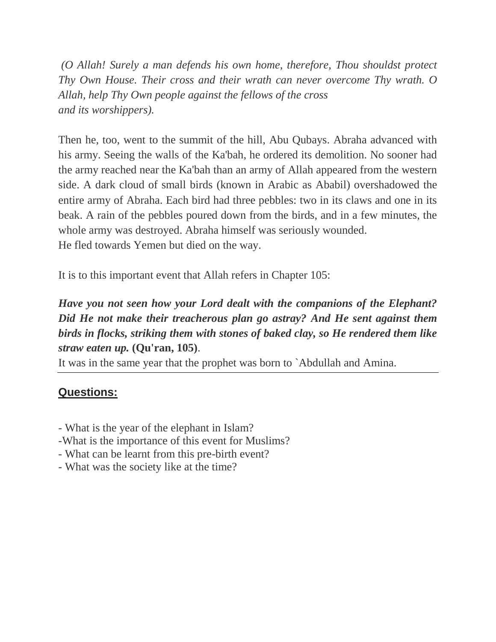*(O Allah! Surely a man defends his own home, therefore, Thou shouldst protect Thy Own House. Their cross and their wrath can never overcome Thy wrath. O Allah, help Thy Own people against the fellows of the cross and its worshippers).* 

Then he, too, went to the summit of the hill, Abu Qubays. Abraha advanced with his army. Seeing the walls of the Ka'bah, he ordered its demolition. No sooner had the army reached near the Ka'bah than an army of Allah appeared from the western side. A dark cloud of small birds (known in Arabic as Ababil) overshadowed the entire army of Abraha. Each bird had three pebbles: two in its claws and one in its beak. A rain of the pebbles poured down from the birds, and in a few minutes, the whole army was destroyed. Abraha himself was seriously wounded. He fled towards Yemen but died on the way.

It is to this important event that Allah refers in Chapter 105:

### *Have you not seen how your Lord dealt with the companions of the Elephant? Did He not make their treacherous plan go astray? And He sent against them birds in flocks, striking them with stones of baked clay, so He rendered them like straw eaten up.* **(Qu'ran, 105)**.

It was in the same year that the prophet was born to `Abdullah and Amina.

## **Questions:**

- What is the year of the elephant in Islam?
- -What is the importance of this event for Muslims?
- What can be learnt from this pre-birth event?
- What was the society like at the time?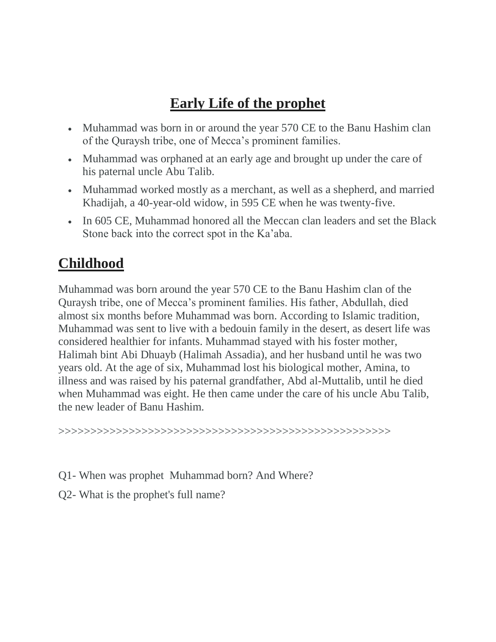# **Early Life of the prophet**

- Muhammad was born in or around the year 570 CE to the Banu Hashim clan of the Quraysh tribe, one of Mecca's prominent families.
- Muhammad was orphaned at an early age and brought up under the care of his paternal uncle Abu Talib.
- Muhammad worked mostly as a merchant, as well as a shepherd, and married Khadijah, a 40-year-old widow, in 595 CE when he was twenty-five.
- In 605 CE, Muhammad honored all the Meccan clan leaders and set the Black Stone back into the correct spot in the Ka'aba.

# **Childhood**

Muhammad was born around the year 570 CE to the Banu Hashim clan of the Quraysh tribe, one of Mecca's prominent families. His father, Abdullah, died almost six months before Muhammad was born. According to Islamic tradition, Muhammad was sent to live with a bedouin family in the desert, as desert life was considered healthier for infants. Muhammad stayed with his foster mother, Halimah bint Abi Dhuayb (Halimah Assadia), and her husband until he was two years old. At the age of six, Muhammad lost his biological mother, Amina, to illness and was raised by his paternal grandfather, Abd al-Muttalib, until he died when Muhammad was eight. He then came under the care of his uncle Abu Talib, the new leader of Banu Hashim.

>>>>>>>>>>>>>>>>>>>>>>>>>>>>>>>>>>>>>>>>>>>>>>>>>>>>

- Q1- When was prophet Muhammad born? And Where?
- Q2- What is the prophet's full name?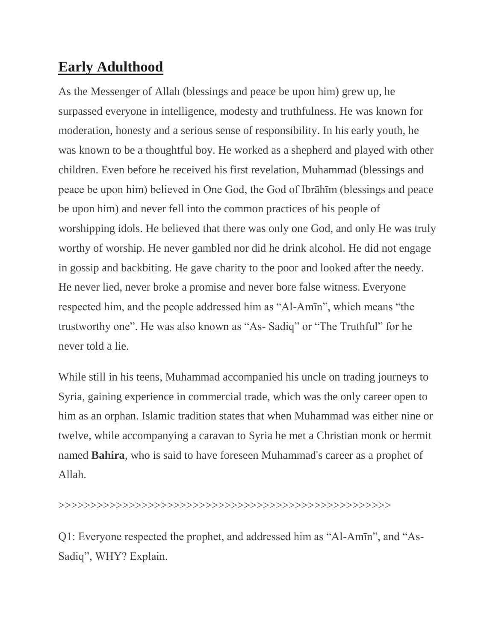## **Early Adulthood**

As the Messenger of Allah (blessings and peace be upon him) grew up, he surpassed everyone in intelligence, modesty and truthfulness. He was known for moderation, honesty and a serious sense of responsibility. In his early youth, he was known to be a thoughtful boy. He worked as a shepherd and played with other children. Even before he received his first revelation, Muhammad (blessings and peace be upon him) believed in One God, the God of Ibrāhīm (blessings and peace be upon him) and never fell into the common practices of his people of worshipping idols. He believed that there was only one God, and only He was truly worthy of worship. He never gambled nor did he drink alcohol. He did not engage in gossip and backbiting. He gave charity to the poor and looked after the needy. He never lied, never broke a promise and never bore false witness. Everyone respected him, and the people addressed him as "Al-Amīn", which means "the trustworthy one". He was also known as "As- Sadiq" or "The Truthful" for he never told a lie.

While still in his teens, Muhammad accompanied his uncle on trading journeys to Syria, gaining experience in commercial trade, which was the only career open to him as an orphan. Islamic tradition states that when Muhammad was either nine or twelve, while accompanying a caravan to Syria he met a Christian monk or hermit named **Bahira**, who is said to have foreseen Muhammad's career as a prophet of Allah.

#### >>>>>>>>>>>>>>>>>>>>>>>>>>>>>>>>>>>>>>>>>>>>>>>>>>>>

Q1: Everyone respected the prophet, and addressed him as "Al-Amīn", and "As-Sadiq", WHY? Explain.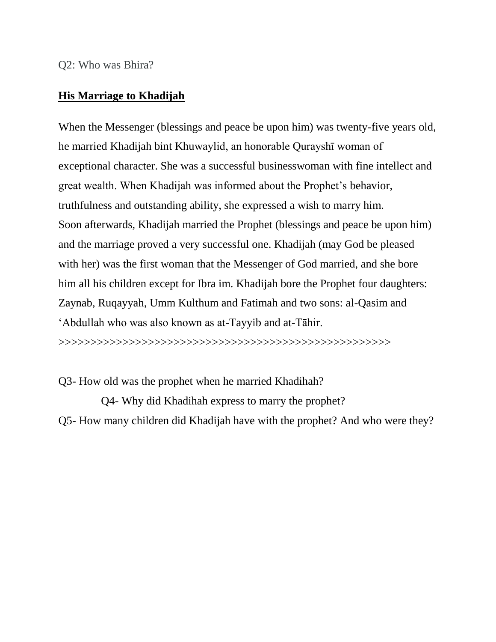Q2: Who was Bhira?

#### **His Marriage to Khadijah**

When the Messenger (blessings and peace be upon him) was twenty-five years old, he married Khadijah bint Khuwaylid, an honorable Qurayshī woman of exceptional character. She was a successful businesswoman with fine intellect and great wealth. When Khadijah was informed about the Prophet's behavior, truthfulness and outstanding ability, she expressed a wish to marry him. Soon afterwards, Khadijah married the Prophet (blessings and peace be upon him) and the marriage proved a very successful one. Khadijah (may God be pleased with her) was the first woman that the Messenger of God married, and she bore him all his children except for Ibra im. Khadijah bore the Prophet four daughters: Zaynab, Ruqayyah, Umm Kulthum and Fatimah and two sons: al-Qasim and 'Abdullah who was also known as at-Tayyib and at-Tāhir.

>>>>>>>>>>>>>>>>>>>>>>>>>>>>>>>>>>>>>>>>>>>>>>>>>>>>

Q3- How old was the prophet when he married Khadihah?

Q4- Why did Khadihah express to marry the prophet? Q5- How many children did Khadijah have with the prophet? And who were they?